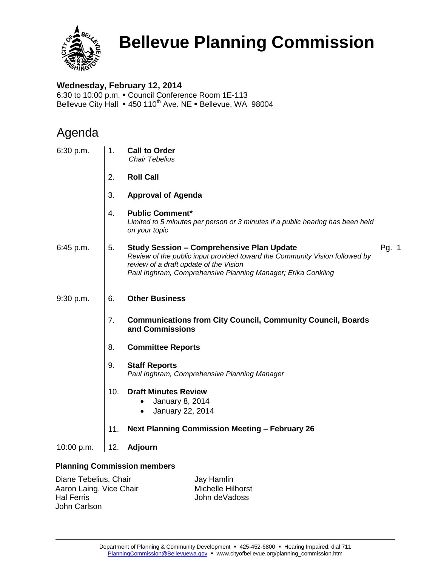

# **Bellevue Planning Commission**

### **Wednesday, February 12, 2014**

6:30 to 10:00 p.m. Council Conference Room 1E-113 Bellevue City Hall = 450 110<sup>th</sup> Ave. NE = Bellevue, WA 98004

## Agenda

| 6:30 p.m.  | 1.  | <b>Call to Order</b><br><b>Chair Tebelius</b>                                                                                                                                                                                             |       |  |
|------------|-----|-------------------------------------------------------------------------------------------------------------------------------------------------------------------------------------------------------------------------------------------|-------|--|
|            | 2.  | <b>Roll Call</b>                                                                                                                                                                                                                          |       |  |
|            | 3.  | <b>Approval of Agenda</b>                                                                                                                                                                                                                 |       |  |
|            | 4.  | <b>Public Comment*</b><br>Limited to 5 minutes per person or 3 minutes if a public hearing has been held<br>on your topic                                                                                                                 |       |  |
| 6:45 p.m.  | 5.  | <b>Study Session - Comprehensive Plan Update</b><br>Review of the public input provided toward the Community Vision followed by<br>review of a draft update of the Vision<br>Paul Inghram, Comprehensive Planning Manager; Erika Conkling | Pg. 1 |  |
| 9:30 p.m.  | 6.  | <b>Other Business</b>                                                                                                                                                                                                                     |       |  |
|            | 7.  | <b>Communications from City Council, Community Council, Boards</b><br>and Commissions                                                                                                                                                     |       |  |
|            | 8.  | <b>Committee Reports</b>                                                                                                                                                                                                                  |       |  |
|            | 9.  | <b>Staff Reports</b><br>Paul Inghram, Comprehensive Planning Manager                                                                                                                                                                      |       |  |
|            | 10. | <b>Draft Minutes Review</b><br><b>January 8, 2014</b><br>$\bullet$<br>January 22, 2014<br>$\bullet$                                                                                                                                       |       |  |
|            | 11. | <b>Next Planning Commission Meeting - February 26</b>                                                                                                                                                                                     |       |  |
| 10:00 p.m. | 12. | Adjourn                                                                                                                                                                                                                                   |       |  |
|            |     |                                                                                                                                                                                                                                           |       |  |

### **Planning Commission members**

Diane Tebelius, Chair Aaron Laing, Vice Chair Hal Ferris John Carlson

Jay Hamlin Michelle Hilhorst John deVadoss